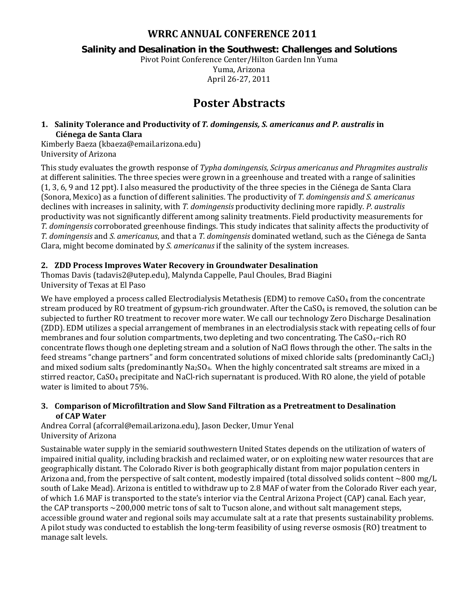## **WRRC ANNUAL CONFERENCE 2011**

## **Salinity and Desalination in the Southwest: Challenges and Solutions**

Pivot Point Conference Center/Hilton Garden Inn Yuma Yuma, Arizona April 26-27, 2011

# **Poster Abstracts**

#### **1. Salinity Tolerance and Productivity of** *T. domingensis, S. americanus and P. australis* **in Ciénega de Santa Clara**

Kimberly Baeza (kbaeza@email.arizona.edu) University of Arizona

This study evaluates the growth response of *Typha domingensis, Scirpus americanus and Phragmites australis* at different salinities. The three species were grown in a greenhouse and treated with a range of salinities (1, 3, 6, 9 and 12 ppt). I also measured the productivity of the three species in the Ciénega de Santa Clara (Sonora, Mexico) as a function of different salinities. The productivity of *T. domingensis and S. americanus*  declines with increases in salinity, with *T. domingensis* productivity declining more rapidly. *P. australis* productivity was not significantly different among salinity treatments. Field productivity measurements for *T. domingensis* corroborated greenhouse findings. This study indicates that salinity affects the productivity of *T. domingensis* and *S. americanus*, and that a *T. domingensis* dominated wetland, such as the Ciénega de Santa Clara, might become dominated by *S. americanus* if the salinity of the system increases.

## **2. ZDD Process Improves Water Recovery in Groundwater Desalination**

Thomas Davis (tadavis2@utep.edu), Malynda Cappelle, Paul Choules, Brad Biagini University of Texas at El Paso

We have employed a process called Electrodialysis Metathesis (EDM) to remove  $CaSO<sub>4</sub>$  from the concentrate stream produced by RO treatment of gypsum-rich groundwater. After the  $CaSO<sub>4</sub>$  is removed, the solution can be subjected to further RO treatment to recover more water. We call our technology Zero Discharge Desalination (ZDD). EDM utilizes a special arrangement of membranes in an electrodialysis stack with repeating cells of four membranes and four solution compartments, two depleting and two concentrating. The CaSO<sub>4</sub>-rich RO concentrate flows though one depleting stream and a solution of NaCl flows through the other. The salts in the feed streams "change partners" and form concentrated solutions of mixed chloride salts (predominantly  $CaCl<sub>2</sub>$ ) and mixed sodium salts (predominantly Na<sub>2</sub>SO<sub>4</sub>. When the highly concentrated salt streams are mixed in a stirred reactor, CaSO4 precipitate and NaCl-rich supernatant is produced. With RO alone, the yield of potable water is limited to about 75%.

#### **3. Comparison of Microfiltration and Slow Sand Filtration as a Pretreatment to Desalination of CAP Water**

Andrea Corral (afcorral@email.arizona.edu), Jason Decker, Umur Yenal University of Arizona

Sustainable water supply in the semiarid southwestern United States depends on the utilization of waters of impaired initial quality, including brackish and reclaimed water, or on exploiting new water resources that are geographically distant. The Colorado River is both geographically distant from major population centers in Arizona and, from the perspective of salt content, modestly impaired (total dissolved solids content  $\sim 800$  mg/L south of Lake Mead). Arizona is entitled to withdraw up to 2.8 MAF of water from the Colorado River each year, of which 1.6 MAF is transported to the state's interior via the Central Arizona Project (CAP) canal. Each year, the CAP transports  $\sim$  200,000 metric tons of salt to Tucson alone, and without salt management steps, accessible ground water and regional soils may accumulate salt at a rate that presents sustainability problems. A pilot study was conducted to establish the long-term feasibility of using reverse osmosis (RO) treatment to manage salt levels.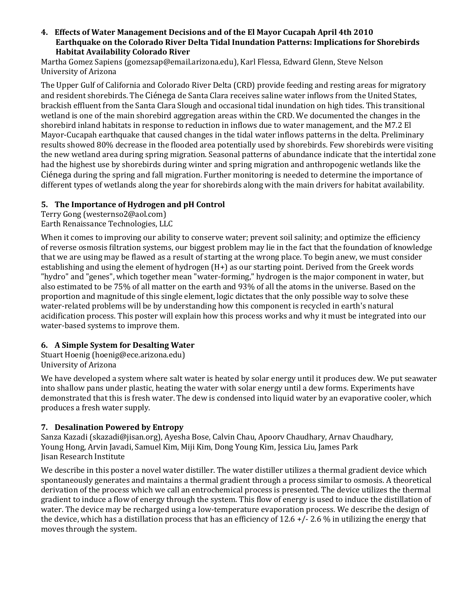#### **4. Effects of Water Management Decisions and of the El Mayor Cucapah April 4th 2010 Earthquake on the Colorado River Delta Tidal Inundation Patterns: Implications for Shorebirds Habitat Availability Colorado River**

Martha Gomez Sapiens (gomezsap@email.arizona.edu), Karl Flessa, Edward Glenn, Steve Nelson University of Arizona

The Upper Gulf of California and Colorado River Delta (CRD) provide feeding and resting areas for migratory and resident shorebirds. The Ciénega de Santa Clara receives saline water inflows from the United States, brackish effluent from the Santa Clara Slough and occasional tidal inundation on high tides. This transitional wetland is one of the main shorebird aggregation areas within the CRD. We documented the changes in the shorebird inland habitats in response to reduction in inflows due to water management, and the M7.2 El Mayor-Cucapah earthquake that caused changes in the tidal water inflows patterns in the delta. Preliminary results showed 80% decrease in the flooded area potentially used by shorebirds. Few shorebirds were visiting the new wetland area during spring migration. Seasonal patterns of abundance indicate that the intertidal zone had the highest use by shorebirds during winter and spring migration and anthropogenic wetlands like the Ciénega during the spring and fall migration. Further monitoring is needed to determine the importance of different types of wetlands along the year for shorebirds along with the main drivers for habitat availability.

## **5. The Importance of Hydrogen and pH Control**

Terry Gong (westernso2@aol.com) Earth Renaissance Technologies, LLC

When it comes to improving our ability to conserve water; prevent soil salinity; and optimize the efficiency of reverse osmosis filtration systems, our biggest problem may lie in the fact that the foundation of knowledge that we are using may be flawed as a result of starting at the wrong place. To begin anew, we must consider establishing and using the element of hydrogen (H+) as our starting point. Derived from the Greek words "hydro" and "genes", which together mean "water-forming," hydrogen is the major component in water, but also estimated to be 75% of all matter on the earth and 93% of all the atoms in the universe. Based on the proportion and magnitude of this single element, logic dictates that the only possible way to solve these water-related problems will be by understanding how this component is recycled in earth's natural acidification process. This poster will explain how this process works and why it must be integrated into our water-based systems to improve them.

## **6. A Simple System for Desalting Water**

Stuart Hoenig (hoenig@ece.arizona.edu) University of Arizona

We have developed a system where salt water is heated by solar energy until it produces dew. We put seawater into shallow pans under plastic, heating the water with solar energy until a dew forms. Experiments have demonstrated that this is fresh water. The dew is condensed into liquid water by an evaporative cooler, which produces a fresh water supply.

#### **7. Desalination Powered by Entropy**

Sanza Kazadi (skazadi@jisan.org), Ayesha Bose, Calvin Chau, Apoorv Chaudhary, Arnav Chaudhary, Young Hong, Arvin Javadi, Samuel Kim, Miji Kim, Dong Young Kim, Jessica Liu, James Park Jisan Research Institute

We describe in this poster a novel water distiller. The water distiller utilizes a thermal gradient device which spontaneously generates and maintains a thermal gradient through a process similar to osmosis. A theoretical derivation of the process which we call an entrochemical process is presented. The device utilizes the thermal gradient to induce a flow of energy through the system. This flow of energy is used to induce the distillation of water. The device may be recharged using a low-temperature evaporation process. We describe the design of the device, which has a distillation process that has an efficiency of  $12.6 +/- 2.6$  % in utilizing the energy that moves through the system.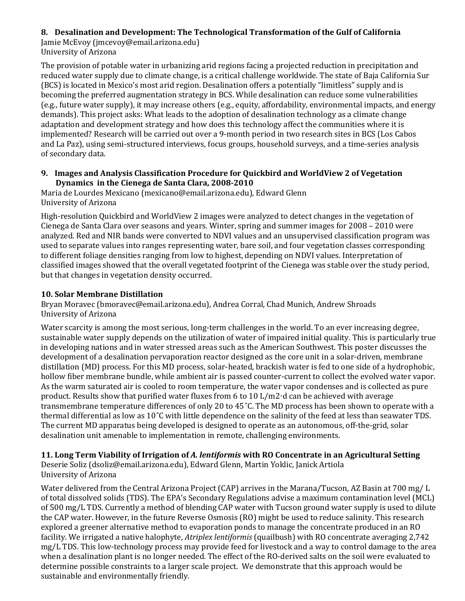## **8. Desalination and Development: The Technological Transformation of the Gulf of California**

Jamie McEvoy (jmcevoy@email.arizona.edu) University of Arizona

The provision of potable water in urbanizing arid regions facing a projected reduction in precipitation and reduced water supply due to climate change, is a critical challenge worldwide. The state of Baja California Sur (BCS) is located in Mexico's most arid region. Desalination offers a potentially "limitless" supply and is becoming the preferred augmentation strategy in BCS. While desalination can reduce some vulnerabilities (e.g., future water supply), it may increase others (e.g., equity, affordability, environmental impacts, and energy demands). This project asks: What leads to the adoption of desalination technology as a climate change adaptation and development strategy and how does this technology affect the communities where it is implemented? Research will be carried out over a 9-month period in two research sites in BCS (Los Cabos and La Paz), using semi-structured interviews, focus groups, household surveys, and a time-series analysis of secondary data.

#### **9. Images and Analysis Classification Procedure for Quickbird and WorldView 2 of Vegetation Dynamics in the Cienega de Santa Clara, 2008-2010**

Maria de Lourdes Mexicano (mexicano@email.arizona.edu), Edward Glenn University of Arizona

High-resolution Quickbird and WorldView 2 images were analyzed to detect changes in the vegetation of Cienega de Santa Clara over seasons and years. Winter, spring and summer images for 2008 – 2010 were analyzed. Red and NIR bands were converted to NDVI values and an unsupervised classification program was used to separate values into ranges representing water, bare soil, and four vegetation classes corresponding to different foliage densities ranging from low to highest, depending on NDVI values. Interpretation of classified images showed that the overall vegetated footprint of the Cienega was stable over the study period, but that changes in vegetation density occurred.

## **10. Solar Membrane Distillation**

Bryan Moravec (bmoravec@email.arizona.edu), Andrea Corral, Chad Munich, Andrew Shroads University of Arizona

Water scarcity is among the most serious, long-term challenges in the world. To an ever increasing degree, sustainable water supply depends on the utilization of water of impaired initial quality. This is particularly true in developing nations and in water stressed areas such as the American Southwest. This poster discusses the development of a desalination pervaporation reactor designed as the core unit in a solar-driven, membrane distillation (MD) process. For this MD process, solar-heated, brackish water is fed to one side of a hydrophobic, hollow fiber membrane bundle, while ambient air is passed counter-current to collect the evolved water vapor. As the warm saturated air is cooled to room temperature, the water vapor condenses and is collected as pure product. Results show that purified water fluxes from 6 to 10 L/m2∙d can be achieved with average transmembrane temperature differences of only 20 to 45˚C. The MD process has been shown to operate with a thermal differential as low as 10˚C with little dependence on the salinity of the feed at less than seawater TDS. The current MD apparatus being developed is designed to operate as an autonomous, off-the-grid, solar desalination unit amenable to implementation in remote, challenging environments.

## **11. Long Term Viability of Irrigation of** *A. lentiformis* **with RO Concentrate in an Agricultural Setting**

Deserie Soliz (dsoliz@email.arizona.edu), Edward Glenn, Martin Yoklic, Janick Artiola University of Arizona

Water delivered from the Central Arizona Project (CAP) arrives in the Marana/Tucson, AZ Basin at 700 mg/ L of total dissolved solids (TDS). The EPA's Secondary Regulations advise a maximum contamination level (MCL) of 500 mg/L TDS. Currently a method of blending CAP water with Tucson ground water supply is used to dilute the CAP water. However, in the future Reverse Osmosis (RO) might be used to reduce salinity. This research explored a greener alternative method to evaporation ponds to manage the concentrate produced in an RO facility. We irrigated a native halophyte, *Atriplex lentiformis* (quailbush) with RO concentrate averaging 2,742 mg/L TDS. This low-technology process may provide feed for livestock and a way to control damage to the area when a desalination plant is no longer needed. The effect of the RO-derived salts on the soil were evaluated to determine possible constraints to a larger scale project. We demonstrate that this approach would be sustainable and environmentally friendly.